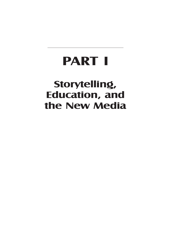# **PART I**

## **Storytelling, Education, and the New Media**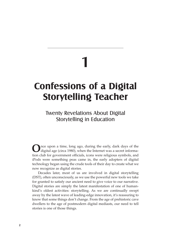1

## **Confessions of a Digital Storytelling Teacher**

## Twenty Revelations About Digital Storytelling in Education

nce upon a time, long ago, during the early, dark days of the digital age (circa 1980), when the Internet was a secret information club for government officials, icons were religious symbols, and iPods were something peas came in, the early adopters of digital technology began using the crude tools of their day to create what we now recognize as digital stories.

Decades later, most of us are involved in digital storytelling (DST), often unconsciously, as we use the powerful new tools we take for granted to satisfy our ancient need to give voice to our narrative. Digital stories are simply the latest manifestation of one of humankind's oldest activities: storytelling. As we are continually swept away by the latest wave of leading-edge innovation, it's reassuring to know that some things don't change. From the age of prehistoric cave dwellers to the age of postmodern digital mediasts, our need to tell stories is one of those things.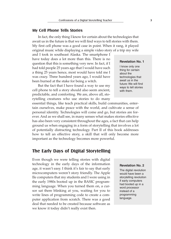## **My Cell Phone Tells Stories**

In fact, the only thing I know for certain about the technologies that await us in the future is that we will find ways to tell stories with them. My first cell phone was a good case in point. When it rang, it played original music while displaying a simple video story of a trip my wife

and I took in southeast Alaska. The smartphone I have today does a lot more than this. There is no question that this is something very new. In fact, if I had told people 25 years ago that I would have such a thing 25 years hence, most would have told me I was crazy. Three hundred years ago, I would have been burned at the stake for being a witch.

But the fact that I have found a way to use my cell phone to tell a story should also seem ancient, predictable, and comforting. We are, above all, storytelling creatures who use stories to do many

essential things, like teach practical skills, build communities, entertain ourselves, make peace with the world, and cultivate a sense of personal identity. Technologies will come and go, but stories are forever. And as we shall see, in many senses what makes stories effective has also been very consistent throughout the ages, a fact that can help ground us when engaging in a form of storytelling that involves a lot of potentially distracting technology. Part II of this book addresses how to tell an effective story, a skill that will only become more important as the technology becomes more powerful.

## **The Early Days of Digital Storytelling**

Even though we were telling stories with digital technology in the early days of the information age, it wasn't easy. I think it's fair to say that early microcomputers weren't story friendly. The Apple IIe computers that my students and I were using in the early 1980s booted up in the BASIC programming language. When you turned them on, a cursor sat there blinking at you, waiting for you to write lines of programming code to create a computer application from scratch. There was a good deal that needed to be created because software as we know it today didn't really exist then.

**Revelation No. 1**

I know only one thing for certain about the technologies that await us in the future: We will find ways to tell stories with them.

#### **Revelation No. 2**

The digital revolution would have been a storytelling revolution if early computers had booted up in a word processor instead of a programming language.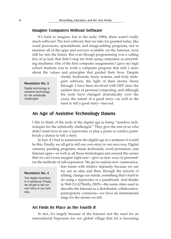#### **Imagine Computers Without Software**

It's hard to imagine, but in the early 1980s, there wasn't really much software! The tool software that we take for granted today, like word processors, spreadsheets, and image-editing programs, not to mention all of the apps and services available via the Internet, were still far into the future. But even though programming was a calling few of us had, that didn't stop me from using computers as storytelling machines. One of the first computer assignments I gave my high school students was to write a computer program that told a story about the values and principles that guided their lives. Despite

**Revelation No. 3**

Digital technology is assistive technology for the artistically challenged.

clunky keyboards, fuzzy screens, and truly inelegant software, the light of their stories shone through. I have been involved with DST since the earliest days of personal computing, and although the tools have changed dramatically over the years, the nature of a good story—as well as the need to tell a good story—has not.

## **An Age of Assistive Technology Dawns**

I like to think of the tools of the digital age as being "assistive technologies for the artistically challenged." They give the rest of us who didn't learn how to use a typewriter or play a piano or wield a paintbrush a chance to tell a story.

In fact, if I had to summarize the digital age in a sentence it would be this: Finally, we all get to tell our own story in our own way. Digital cameras, painting programs, music keyboards, word processors, and Internet apps—as well as all those technologies just around the corner that we can't even imagine right now—give us new ways to personalize the methods of self-expression. We get to explore new communica-

#### **Revelation No. 4**

The digital revolution in a sentence: Finally, we all get to tell our own story in our own way.

tion forms with relative impunity, because we can try out an idea and then, through the miracle of editing, change our minds, something that's hard to do using a typewriter or a paintbrush. And thanks to Web 2.0 (O'Reilly, 2005)—the name often used to describe the Internet as a distributed, collaborative, participatory commons—we have an international stage for the stories we tell.

### **Art Finds Its Place as the Fourth <sup>R</sup>**

In fact, it's largely because of the Internet and the need for an international Esperanto for our global village that art is becoming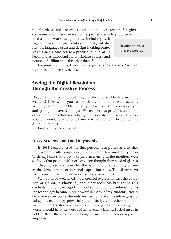the fourth *R* and "story" is becoming a key format for global communication. Because we now expect students to produce multimedia homework assignments, including web

pages, PowerPoint presentations, and digital stories, the language of art and design is taking center stage. Once a hard sell to a practical public, art is becoming as important for workplace success and personal fulfillment as the other three *R*s.

**Revelation No. 5** Art is the fourth *R.*

For more about this, I invite you to go to the Art the 4th R website (www.jasonohler.com/nextr).

## **Seeing the Digital Revolution Through the Creative Process**

Do you know those moments in your life when suddenly everything changes? Like when you realize that your parents were actually your age at one time? Or the pet you love will someday leave you and go to pet heaven? Being a DST teacher has provided a number of such moments that have changed me deeply and irrevocably, as a teacher, friend, researcher, citizen, creative content developer, and digital humanist.

First, a little background.

#### **Fuzzy Screens and Loud Keyboards**

In 1981 I encountered my first personal computers as a teacher. They weren't really computers; they were more like small army tanks. Their keyboards sounded like jackhammers, and the monitors were so fuzzy that people with perfect vision thought they needed glasses. But they worked and provided the beginning of an exciting journey in the development of personal expression tools. The distance we have come in just three decades has been miraculous.

While I have welcomed the increased expression that the evolution of graphic, audiovisual, and other tools has brought to DST students, many years ago I realized something very interesting: As the technology became more powerful, many of my students' stories became weaker. Some students seemed to have an intuitive grasp of using new technology powerfully and artfully, while others didn't. In fact, for them the story components of their digital stories were getting worse. I could hear the words of my teacher Marshall McLuhan as he held forth in the classroom echoing in my mind: Technology is an amplifier.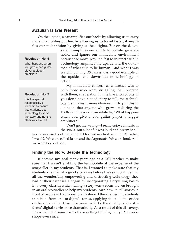#### **McLuhan Is Ever Present**

On the upside, a car amplifies our backs by allowing us to carry more; it amplifies our feet by allowing us to travel faster; it amplifies our night vision by giving us headlights. But on the down-

#### **Revelation No. 6**

What happens when you give a bad guitar player a bigger amplifier?

side, it amplifies our ability to pollute, generate noise, and ignore our immediate environment because we move way too fast to interact with it. Technology amplifies the upside and the downside of what it is to be human. And what I was watching in my DST class was a good example of the upsides and downsides of technology in action.

#### **Revelation No. 7**

It is the special responsibility of teachers to ensure that students use technology to serve the story and not the other way around.

My immediate concern as a teacher was to help those who were struggling. As I worked with them, a revelation hit me like a ton of bits: If you don't have a good story to tell, the technology just makes it more obvious. Or to put this in language that anyone who grew up during the 1960s (and beyond) can relate to, "What happens when you give a bad guitar player a bigger amplifier?"

Don't get me wrong—I really enjoyed music in the 1960s. But a lot of it was loud and pretty bad. I

know because I contributed to it. I formed my first band in 1965 when I was 12. We were called Jason and the Argonauts. We were loud. And we were beyond bad.

#### **Finding the Story, Despite the Technology**

It became my goal many years ago as a DST teacher to make sure that I wasn't enabling the technophile at the expense of the storyteller in my students. That is, I wanted to make sure that my students knew what a good story was before they sat down behind all the wonderfully empowering and distracting technology they had at their disposal. I began by incorporating storytelling basics into every class in which telling a story was a focus. I even brought in an oral storyteller to help my students learn how to tell stories in front of people in traditional oral fashion. I then helped my students transition from oral to digital stories, applying the tools in service of the story rather than vice versa. And lo, the quality of my students' digital stories rose dramatically. As a result of this discovery, I have included some form of storytelling training in my DST workshops ever since.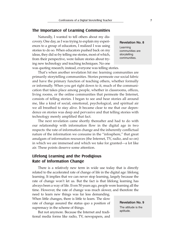### **The Importance of Learning Communities**

Naturally, I wanted to tell others about my discovery. One day, as I was trying to explain my experiences to a group of educators, I realized I was using stories to do so. When educators pushed back on my ideas, they did so by telling me stories, most of which, from their perspective, were failure stories about trying new technology and teaching techniques. No one was quoting research; instead, everyone was telling stories.

**Revelation No. 8**

Learning communities are storytelling communities.

That's when another revelation hit me: learning communities are primarily storytelling communities. Stories permeate our social fabric and have the primary function of teaching others, whether formally or informally. When you get right down to it, much of the communication that takes place among people, whether in classrooms, offices, living rooms, or the online communities that permeate the Internet, consists of telling stories. I began to see and hear stories all around me, like a kind of social, emotional, psychological, and spiritual air we all breathed to stay alive. It became clear to me that our dependence on stories was deep and pervasive and that telling stories with technology merely amplified that fact.

The next revelation came shortly thereafter and had to do with our relationship with information flow in the digital age in two respects: the rate of information change and the inherently conflictual nature of the information we consume in the "infosphere," that great amalgam of information resources (the Internet, TV, radio, and so on) in which we are immersed and which we take for granted—a lot like air. These points deserve some attention.

## **Lifelong Learning and the Prodigious Rate of Information Change**

There is a relatively new term in wide use today that is directly related to the accelerated rate of change of life in the digital age: lifelong learning. It implies that we can never stop learning, largely because the rate of change won't let us. But the fact is that lifelong learning has always been a way of life. Even 50 years ago, people were learning all the time. However, the rate of change was much slower, and therefore the

need to learn new things was far less demanding. When little changes, there is little to learn. The slow rate of change assured the status quo a position of supremacy in the scheme of things.

But not anymore. Because the Internet and traditional media forms like radio, TV, newspapers, and **Revelation No. 9**

The attitude is the aptitude.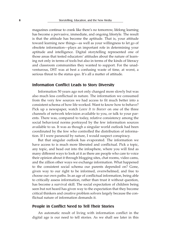magazines continue to crank like there's no tomorrow, lifelong learning has become a pervasive, immediate, and ongoing lifestyle. The result is that the attitude has become the aptitude. That is, your attitude toward learning new things—as well as your willingness to let go of obsolete information—plays an important role in determining your aptitude and intelligence. Digital storytelling represented one of those areas that tested educators' attitudes about the nature of learning not only in terms of tools but also in terms of the kinds of literacy and classroom communities they wanted to support. For the unadventurous, DST was at best a confusing waste of time, at worst, a serious threat to the status quo. It's all a matter of attitude.

#### **Information Conflict Leads to Story Diversity**

Information 50 years ago not only changed more slowly but was also much less conflictual in nature. The information we consumed from the very few sources we had access to fit much better into a consistent schema of how life worked. Want to know how to behave? Pick up a newspaper, watch *Leave It to Beaver* on one of the three channels of network television available to you, or talk to your parents. There was, compared to today, relative consistency among the social behavioral norms portrayed by the few information sources available to us. It was as though a singular world outlook had been coordinated by the few who controlled the distribution of information. If I were paranoid by nature, I would suspect conspiracy.

But that singular outlook has evaporated. The information we have access to is much more liberated and conflictual. Pick a topic, any topic, and head out into the infosphere, where you will find as many different ways to look at it as there are people who care to voice their opinion about it through blogging sites, chat rooms, video cams, and the zillion other ways we exchange information. What happened to the consistent social schema our parents depended on? Gone, given way to our right to be informed, overwhelmed, and free to choose our own paths. In an age of conflictual information, being able to critically assess information, rather than trust it without question, has become a survival skill. The social expectation of children being seen but not heard has given way to the expectation that they become critical thinkers and creative problem solvers largely because the conflictual nature of information demands it.

#### **People in Conflict Need to Tell Their Stories**

An automatic result of living with information conflict in the digital age is our need to tell stories. As we shall see later in this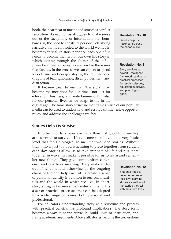book, the heartbeat of most good stories is conflict resolution. As each of us struggles to make sense out of the cacophony of information that bombards us, the need to construct personal, clarifying narrative that is connected to the world we live in becomes critical. In story parlance, each one of us needs to become the hero of our own life story in which cutting through the clutter of the infosphere becomes our quest as we resolve the issues that face us. In the process we can expect to spend lots of time and energy slaying the multiheaded dragons of fear, ignorance, disempowerment, and distraction.

It became clear to me that "the story" had become the metaphor for our time—not just for education, business, and entertainment, but also for our personal lives as we adapt to life in the

digital age. The same story structure that frames much of our popular media can be used to understand and resolve conflict, mine opportunities, and address the challenges we face.

#### **Stories Help Us Survive**

In other words, stories are more than just good for us—they are essential to survival. I have come to believe, on a very basic level that feels biological to me, that we need stories. Without them, life is just too overwhelming to piece together from scratch each day. Stories allow us to take snippets of life and put them together in ways that make it possible for us to learn and remem-

ber new things. They give communities coherence and our lives meaning. They make order out of what would otherwise be the ongoing chaos of life and help each of us create a sense of personal identity in relation to our communities and the world in which we live. In short, storytelling is far more than entertainment. It's a set of practical processes that can be adapted to a wide range of issues, both personal and professional.

For educators, understanding story as a structure and process with practical benefits has profound implications. The story form becomes a way to shape curricula, build units of instruction, and frame academic arguments. Above all, stories become the cornerstone

Stories help us make sense out of the chaos of life.

#### **Revelation No. 11**

Story provides a powerful metaphor, framework, and set of practical processes for resolving issues, educating ourselves, and pursuing our goals.

#### **Revelation No. 12**

Students need to become heroes of their own learning stories as well as of the stories they tell with their own lives.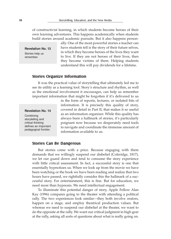of constructivist learning, in which students become heroes of their own learning adventures. This happens academically when students build stories around academic pursuits. But it also happens person-

**Revelation No. 13** Stories help us remember.

ally. One of the most powerful stories a teacher can have students tell is the story of their future selves, in which they become heroes of the lives they want to live. If they are not heroes of their lives, then they become victims of them. Helping students understand this will pay dividends for a lifetime.

#### **Stories Organize Information**

It was the practical value of storytelling that ultimately led me to see its utility as a learning tool. Story's structure and rhythm, as well as the emotional involvement it encourages, can help us remember important information that might be forgotten if it's delivered to us

**Revelation No. 14 Combining** storytelling and critical thinking defines an important pedagogical frontier.

in the form of reports, lectures, or isolated bits of information. It is precisely this quality of story, covered in detail in Part II, that makes it so useful as an information organizer. While this quality has always been a hallmark of stories, it's particularly poignant now because we desperately need tools to navigate and coordinate the immense amount of information available to us.

#### **Stories Can Be Dangerous**

But stories come with a price. Because engaging with them demands that we willingly suspend our disbelief (Coleridge, 1817), we let our guard down and tend to consume the story experience with little critical assessment. In fact, a successful story is one that essentially hypnotizes us. When we look up from the movie we have been watching or the book we have been reading and realize that two hours have passed, we rightfully consider this the hallmark of a successful story. For entertainment, this is fine. But for education, we need more than hypnosis. We need intellectual engagement.

To illuminate this potential danger of story, Apple Fellow Alan Kay (1996) compares going to the theater with attending a political rally. The two experiences look similar—they both involve orators, happen on a stage, and employ theatrical production values. But whereas we need to suspend our disbelief at the theater, we want to do the opposite at the rally. We want our critical judgment in high gear at the rally, asking all sorts of questions about what is really going on.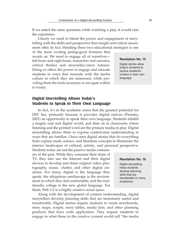If we asked the same questions while watching a play, it would ruin the experience.

Clearly we need to blend the power and engagement of storytelling with the skills and perspective that insight and critical assessment offer. In fact, blending these two educational strategies is one

of the most exciting pedagogical frontiers that awaits us. We need to engage all of ourselves left brain and right brain, researcher and narrator, critical thinker and storyteller/story listener. Doing so offers the power to engage and educate students in ways that resonate with the media culture in which they are immersed, while providing them the tools necessary to navigate within it wisely.

## **Digital Storytelling Allows Today's Students to Speak in Their Own Language**

In fact, it's in the academic arena that the greatest potential for DST lies, primarily because it provides digital natives (Prensky, 2001) an opportunity to speak their own language. Students inhabit a largely oral and digital world, and then sit in classrooms where listening and the printed word are the primary media in play. Digital storytelling allows them to express content-area understanding in ways that are familiar. I have seen digital stories that do everything from explain math, science, and literature concepts to illuminate the interior landscapes of cultural, artistic, and personal perspective.

Students today are not the passive media consumers of the past. While they consume their share of TV, they also use the Internet and their digital devices to develop and share original video, photography, music, chatter, and other digital creations. For many, digital is the language they speak, the ubiquitous mediascape is the environment in which they feel comfortable, and the multimedia collage is the new global language. For them, Web 2.0 is a highly creative social space.

Along with the development of content understanding, digital storytellers develop planning skills that are immensely useful and transferable. Digital stories require students to create storyboards, story maps, scripts, story tables, media lists, and other planning products that have wide application. They require students to engage in what those in the creative content world call "the media

**Revelation No. 16**

Digital storytelling helps students develop planning skills that are transferable to many endeavors.

#### **Revelation No. 15**

Digital stories allow today's students to pursue academic content in their own language.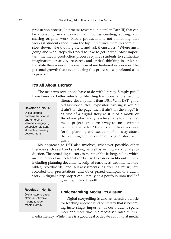production process," a process (covered in detail in Part III) that can be applied to any endeavor that involves creating, editing, and sharing original work. Media production is not something that works if students shoot from the hip. It requires them to zoom out, slow down, take the long view, and ask themselves, "Where am I going and what steps do I need to take to get there?" Most important, the media production process requires students to synthesize imagination, creativity, research, and critical thinking in order to translate their ideas into some form of media-based expression. The personal growth that occurs during this process is as profound as it is practical.

#### **It's All About Literacy**

The next two revelations have to do with literacy. Simply put, I have found no better vehicle for blending traditional and emerging

#### **Revelation No. 17**

Digital stories combine traditional and emerging literacies, engaging otherwise reluctant students in literacy development.

literacy development than DST. With DST, good old-fashioned, clear, expository writing is key. "If it ain't on the page, then it ain't on the stage" is as true of a digital story as it is of a movie or Broadway play. Many teachers have told me that media projects are a great way to sneak writing in under the radar. Students who have no taste for the planning and execution of an essay attack the planning and narration of a digital story with gusto.

My approach to DST also involves, whenever possible, other literacies such as art and speaking, as well as writing and digital production. The actual digital story is the tip of the iceberg, below which are a number of artifacts that can be used to assess traditional literacy, including planning documents, scripted narratives, treatments, story tables, storyboards, and self-assessments, as well as music, art, recorded oral presentations, and other prized examples of student work. A digital story project can literally be a portfolio unto itself of great depth and breadth.

#### **Revelation No. 18**

Digital story creation offers an effective means to teach media literacy.

#### **Understanding Media Persuasion**

Digital storytelling is also an effective vehicle for teaching another kind of literacy that is becoming increasingly important as our students spend more and more time in a media-saturated culture:

media literacy. While there is a good deal of debate about what media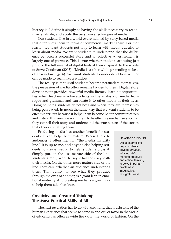literacy is, I define it simply as having the skills necessary to recognize, evaluate, and apply the persuasive techniques of media.

Our students live in a world overwhelmed by story-based media that often view them in terms of commercial market share. For that reason, we want students not only to learn with media but also to learn about media. We want students to understand that the difference between a successful story and an effective advertisement is largely one of purpose. This is true whether students are using just print or the full arsenal of digital tools at their disposal. In the words of Steve Goodman (2003), "Media is a filter while pretending to be a clear window" (p. 6). We want students to understand how a filter can be made to seem like a window.

The reality is that until students become persuaders themselves, the persuasion of media often remains hidden to them. Digital story development provides powerful media-literacy learning opportunities when teachers involve students in the analysis of media technique and grammar and can relate it to other media in their lives. Doing so helps students detect how and when they are themselves being persuaded. In much the same way that we want students to be effective writers because it helps them become better communicators and critical thinkers, we want them to be effective media users so that they can tell their story and understand the true nature of the stories that others are telling them.

Producing media has another benefit for students: It can help them mature. When I talk to audiences, I often mention "the media maturity line." It is up to me, and anyone else helping students to create media, to help students cross it. Simply put, on the less mature side of the line, students simply want to say what they say with their media. On the other, more mature side of the line, they care whether an audience understands them. That ability, to see what they produce through the eyes of another, is a giant leap in emotional maturity. And creating media is a great way to help them take that leap.

## **Creativity and Creatical Thinking: The Most Practical Skills of All**

The next revelation has to do with creativity, that touchstone of the human experience that seems to come in and out of favor in the world of education as often as wide ties do in the world of fashion. On the

**Revelation No. 19**

Digital storytelling helps students develop *creatical thinking skills,* merging creativity and critical thinking, to solve important problems in imaginative, thoughtful ways.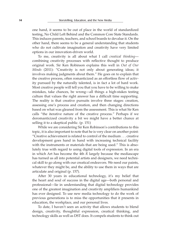one hand, it seems to be out of place in the world of standardized testing, No Child Left Behind and the Common Core State Standards. This induces parents, teachers, and school boards to devalue it. On the other hand, there seems to be a general understanding that students who do not cultivate imagination and creativity have very limited options in our innovation-driven world.

To me, creativity is all about what I call *creatical thinking* combining creativity processes with reflective thought to produce original work. Sir Ken Robinson explains this well in *Out of Our Minds* (2011): "Creativity is not only about generating ideas; it involves making judgments about them." He goes on to explain that the creative process, often romanticized as an effortless flow of activity pursued by the naturally talented, is in fact a lot of hard work. Most creative people will tell you that you have to be willing to make mistakes, take chances, be wrong—all things a high-stakes testing culture that values the right answer has a difficult time supporting. The reality is that creative pursuits involve three stages: creation, assessing one's process and creation, and then changing directions based on what was gleaned from the assessment. This is what Sir Ken calls "the iterative nature of the creative process." Perhaps if we deromanticized creativity a bit we might have a better chance at selling it to a skeptical public. (p. 151)

While we are considering Sir Ken Robinson's contributions to this topic, it is also important to note that he is very clear on another point: "Creative achievement is related to control of the medium . . . creative development goes hand in hand with increasing technical facility with the instruments or materials that are being used." This is absolutely true with regard to using digital tools of expression. In an era in which Art has become the 4th *R* largely because the mediascape has turned us all into potential artists and designers, we need technical skill to go along with our creatical endeavors. We need our paints, whatever they might be, and the ability to use them in ways that are articulate and original (p. 157).

After 30 years in educational technology, it's my belief that the heart and soul of success in the digital age—both personal and professional—lie in understanding that digital technology provides one of the greatest imagination and creativity amplifiers humankind has ever designed. To use new media technology to do the work of previous generations is to miss the opportunities that it presents in education, the workplace, and our personal lives.

To date, I haven't seen an activity that allows students to blend design, creativity, thoughtful expression, creatical thinking, and technology skills as well as DST does. It compels students to think out